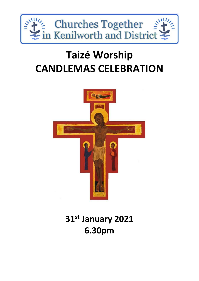

# **Taizé Worship CANDLEMAS CELEBRATION**



## **31st January 2021 6.30pm**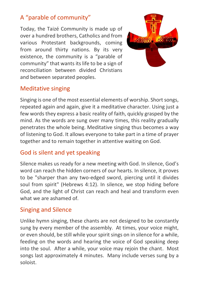## A "parable of community"

Today, the Taizé Community is made up of over a hundred brothers, Catholics and from various Protestant backgrounds, coming from around thirty nations. By its very existence, the community is a "parable of community" that wants its life to be a sign of reconciliation between divided Christians and between separated peoples.



#### Meditative singing

Singing is one of the most essential elements of worship. Short songs, repeated again and again, give it a meditative character. Using just a few words they express a basic reality of faith, quickly grasped by the mind. As the words are sung over many times, this reality gradually penetrates the whole being. Meditative singing thus becomes a way of listening to God. It allows everyone to take part in a time of prayer together and to remain together in attentive waiting on God.

#### God is silent and yet speaking

Silence makes us ready for a new meeting with God. In silence, God's word can reach the hidden corners of our hearts. In silence, it proves to be "sharper than any two-edged sword, piercing until it divides soul from spirit" (Hebrews 4:12). In silence, we stop hiding before God, and the light of Christ can reach and heal and transform even what we are ashamed of.

#### Singing and Silence

Unlike hymn singing, these chants are not designed to be constantly sung by every member of the assembly. At times, your voice might, or even should, be still while your spirit sings on in silence for a while, feeding on the words and hearing the voice of God speaking deep into the soul. After a while, your voice may rejoin the chant. Most songs last approximately 4 minutes. Many include verses sung by a soloist.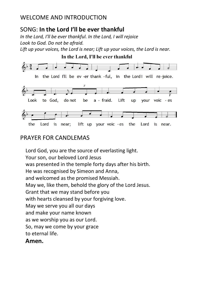#### WELCOME AND INTRODUCTION

#### SONG: **In the Lord I'll be ever thankful**

*In the Lord, I'll be ever thankful. In the Lord, I will rejoice Look to God. Do not be afraid.*

*Lift up your voices, the Lord is near; Lift up your voices, the Lord is near.*



#### the Lord is near; lift up your voic - es the Lord is near.

#### PRAYER FOR CANDI FMAS

Lord God, you are the source of everlasting light. Your son, our beloved Lord Jesus was presented in the temple forty days after his birth. He was recognised by Simeon and Anna, and welcomed as the promised Messiah. May we, like them, behold the glory of the Lord Jesus. Grant that we may stand before you with hearts cleansed by your forgiving love. May we serve you all our days and make your name known as we worship you as our Lord. So, may we come by your grace to eternal life.

#### **Amen.**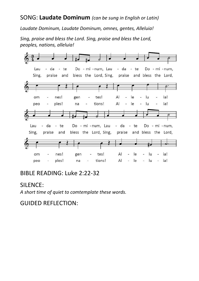#### SONG: **Laudate Dominum** *(can be sung in English or Latin)*

*Laudate Dominum, Laudate Dominum, omnes, gentes, Alleluia!*

*Sing, praise and bless the Lord. Sing, praise and bless the Lord, peoples, nations, alleluia!*



#### BIBLE READING: Luke 2:22-32

#### SILENCE:

*A short time of quiet to comtemplate these words.*

GUIDED REFLECTION: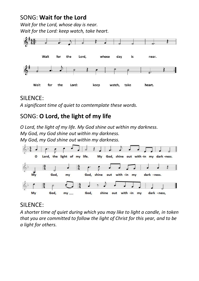#### SONG: **Wait for the Lord**

*Wait for the Lord, whose day is near. Wait for the Lord: keep watch, take heart.*



#### SILENCE:

*A significant time of quiet to comtemplate these words.*

### SONG: **O Lord, the light of my life**

*O Lord, the light of my life. My God shine out within my darkness. My God, my God shine out within my darkness. My God, my God shine out within my darkness.*



#### SILENCE:

*A shorter time of quiet during which you may like to light a candle, in token that you are committed to follow the light of Christ for this year, and to be a light for others.*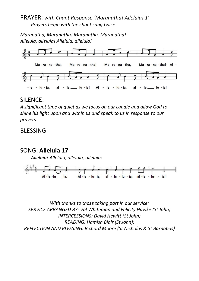#### PRAYER: *with Chant Response 'Maranatha! Alleluia! 1' Prayers begin with the chant sung twice.*

*Maranatha, Maranatha! Maranatha, Maranatha! Alleluia, alleluia! Alleluia, alleluia!*



#### SILENCE:

*A significant time of quiet as we focus on our candle and allow God to shine his light upon and within us and speak to us in response to our prayers.*

BLESSING:

#### SONG: **Alleluia 17**

*Alleluia! Alleluia, alleluia, alleluia!*



*\_ \_ \_ \_ \_ \_ \_ \_ \_ \_*

*With thanks to those taking part in our service: SERVICE ARRANGED BY: Val Whiteman and Felicity Hawke (St John) INTERCESSIONS: David Hewitt (St John) READING: Hamish Blair (St John); REFLECTION AND BLESSING: Richard Moore (St Nicholas & St Barnabas)*